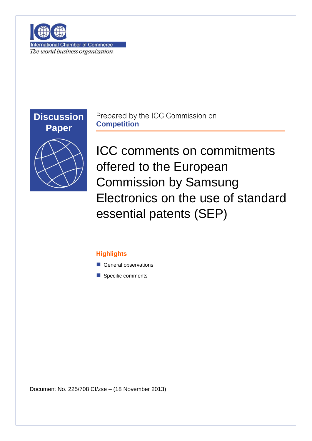

**International Chamber of Commerce** The world business organization



Prepared by the ICC Commission on **Competition**

ICC comments on commitments offered to the European Commission by Samsung Electronics on the use of standard essential patents (SEP)

## **Highlights**

- General observations
- Specific comments

Document No. 225/708 CI/zse – (18 November 2013)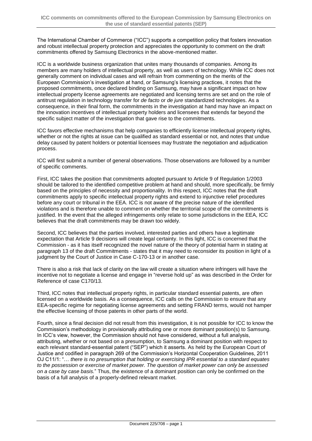The International Chamber of Commerce ("ICC") supports a competition policy that fosters innovation and robust intellectual property protection and appreciates the opportunity to comment on the draft commitments offered by Samsung Electronics in the above-mentioned matter.

ICC is a worldwide business organization that unites many thousands of companies. Among its members are many holders of intellectual property, as well as users of technology. While ICC does not generally comment on individual cases and will refrain from commenting on the merits of the European Commission's investigation at hand, or Samsung's licensing practices, it notes that the proposed commitments, once declared binding on Samsung, may have a significant impact on how intellectual property license agreements are negotiated and licensing terms are set and on the role of antitrust regulation in technology transfer for *de facto* or *de jure* standardized technologies. As a consequence, in their final form, the commitments in the investigation at hand may have an impact on the innovation incentives of intellectual property holders and licensees that extends far beyond the specific subject matter of the investigation that gave rise to the commitments.

ICC favors effective mechanisms that help companies to efficiently license intellectual property rights, whether or not the rights at issue can be qualified as standard essential or not, and notes that undue delay caused by patent holders or potential licensees may frustrate the negotiation and adjudication process.

ICC will first submit a number of general observations. Those observations are followed by a number of specific comments.

First, ICC takes the position that commitments adopted pursuant to Article 9 of Regulation 1/2003 should be tailored to the identified competitive problem at hand and should, more specifically, be firmly based on the principles of necessity and proportionality. In this respect, ICC notes that the draft commitments apply to specific intellectual property rights and extend to injunctive relief procedures before any court or tribunal in the EEA. ICC is not aware of the precise nature of the identified violations and is therefore unable to comment on whether the territorial scope of the commitments is justified. In the event that the alleged infringements only relate to some jurisdictions in the EEA, ICC believes that the draft commitments may be drawn too widely.

Second, ICC believes that the parties involved, interested parties and others have a legitimate expectation that Article 9 decisions will create legal certainty. In this light, ICC is concerned that the Commission - as it has itself recognized the novel nature of the theory of potential harm in stating at paragraph 13 of the draft Commitments - states that it may need to reconsider its position in light of a judgment by the Court of Justice in Case C-170-13 or in another case.

There is also a risk that lack of clarity on the law will create a situation where infringers will have the incentive not to negotiate a license and engage in "reverse hold up" as was described in the Order for Reference of case C170/13.

Third, ICC notes that intellectual property rights, in particular standard essential patents, are often licensed on a worldwide basis. As a consequence, ICC calls on the Commission to ensure that any EEA-specific regime for negotiating license agreements and setting FRAND terms, would not hamper the effective licensing of those patents in other parts of the world.

Fourth, since a final decision did not result from this investigation, it is not possible for ICC to know the Commission's methodology in provisionally attributing one or more dominant position(s) to Samsung. In ICC's view, however, the Commission should not have considered, without a full analysis, attributing, whether or not based on a presumption, to Samsung a dominant position with respect to each relevant standard-essential patent ("SEP") which it asserts. As held by the European Court of Justice and codified in paragraph 269 of the Commission's Horizontal Cooperation Guidelines, 2011 OJ C11/1: "… *there is no presumption that holding or exercising IPR essential to a standard equates to the possession or exercise of market power. The question of market power can only be assessed on a case by case basis.*" Thus, the existence of a dominant position can only be confirmed on the basis of a full analysis of a properly-defined relevant market.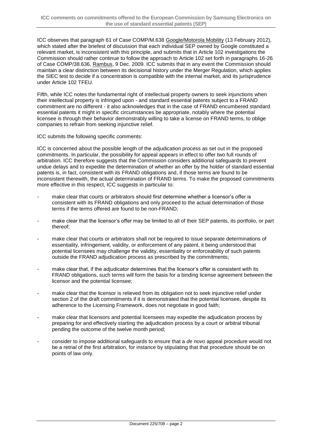ICC observes that paragraph 61 of Case COMP/M.638 Google/Motorola Mobility (13 February 2012), which stated after the briefest of discussion that each individual SEP owned by Google constituted a relevant market, is inconsistent with this principle, and submits that in Article 102 investigations the Commission should rather continue to follow the approach to Article 102 set forth in paragraphs 16-26 of Case COMP/38.636, Rambus, 9 Dec. 2009. ICC submits that in any event the Commission should maintain a clear distinction between its decisional history under the Merger Regulation, which applies the SIEC test to decide if a concentration is compatible with the internal market, and its jurisprudence under Article 102 TFEU.

Fifth, while ICC notes the fundamental right of intellectual property owners to seek injunctions when their intellectual property is infringed upon - and standard essential patents subject to a FRAND commitment are no different - it also acknowledges that in the case of FRAND encumbered standard essential patents it might in specific circumstances be appropriate, notably where the potential licensee is through their behavior demonstrably willing to take a license on FRAND terms, to oblige companies to refrain from seeking injunctive relief.

ICC submits the following specific comments:

ICC is concerned about the possible length of the adjudication process as set out in the proposed commitments. In particular, the possibility for appeal appears in effect to offer two full rounds of arbitration. ICC therefore suggests that the Commission considers additional safeguards to prevent undue delays and to expedite the determination of whether an offer by the holder of standard essential patents is, in fact, consistent with its FRAND obligations and, if those terms are found to be inconsistent therewith, the actual determination of FRAND terms. To make the proposed commitments more effective in this respect, ICC suggests in particular to:

- make clear that courts or arbitrators should first determine whether a licensor's offer is consistent with its FRAND obligations and only proceed to the actual determination of those terms if the terms offered are found to be non-FRAND;
- make clear that the licensor's offer may be limited to all of their SEP patents, its portfolio, or part thereof;
- make clear that courts or arbitrators shall not be required to issue separate determinations of essentiality, infringement, validity, or enforcement of any patent, it being understood that potential licensees may challenge the validity, essentiality or enforceability of such patents outside the FRAND adjudication process as prescribed by the commitments;
- make clear that, if the adjudicator determines that the licensor's offer is consistent with its FRAND obligations, such terms will form the basis for a binding license agreement between the licensor and the potential licensee;
- make clear that the licensor is relieved from its obligation not to seek injunctive relief under section 2 of the draft commitments if it is demonstrated that the potential licensee, despite its adherence to the Licensing Framework, does not negotiate in good faith;
- make clear that licensors and potential licensees may expedite the adjudication process by preparing for and effectively starting the adjudication process by a court or arbitral tribunal pending the outcome of the twelve month period;
- consider to impose additional safeguards to ensure that a *de novo* appeal procedure would not be a retrial of the first arbitration, for instance by stipulating that that procedure should be on points of law only.